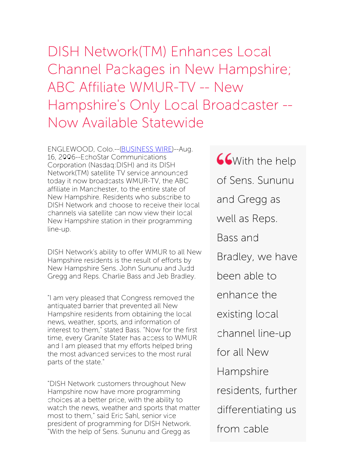DISH Network(TM) Enhances Local Channel Packages in New Hampshire; ABC Affiliate WMUR-TV -- New Hampshire's Only Local Broadcaster -- Now Available Statewide

ENGLEWOOD, Colo.--[\(BUSINESS](http://www.businesswire.com/) WIRE)--Aug. 16, 2006--EchoStar Communications Corporation (Nasdaq:DISH) and its DISH Network(TM) satellite TV service announced today it now broadcasts WMUR-TV, the ABC affiliate in Manchester, to the entire state of New Hampshire. Residents who subscribe to DISH Network and choose to receive their local channels via satellite can now view their local New Hampshire station in their programming line-up.

DISH Network's ability to offer WMUR to all New Hampshire residents is the result of efforts by New Hampshire Sens. John Sununu and Judd Gregg and Reps. Charlie Bass and Jeb Bradley.

"I am very pleased that Congress removed the antiquated barrier that prevented all New Hampshire residents from obtaining the local news, weather, sports, and information of interest to them," stated Bass. "Now for the first time, every Granite Stater has access to WMUR and I am pleased that my efforts helped bring the most advanced services to the most rural parts of the state."

"DISH Network customers throughout New Hampshire now have more programming choices at a better price, with the ability to watch the news, weather and sports that matter most to them," said Eric Sahl, senior vice president of programming for DISH Network. "With the help of Sens. Sununu and Gregg as

**CG** With the help of Sens. Sununu and Gregg as well as Reps. Bass and Bradley, we have been able to enhance the existing local channel line-up for all New Hampshire residents, further differentiating us from cable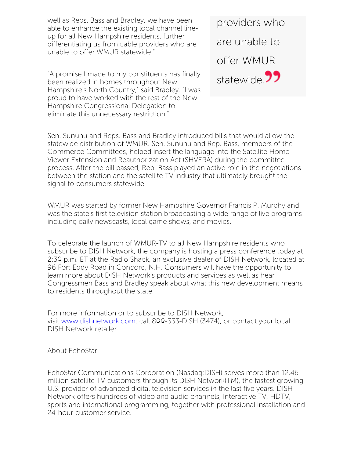well as Reps. Bass and Bradley, we have been able to enhance the existing local channel lineup for all New Hampshire residents, further differentiating us from cable providers who are unable to offer WMUR statewide."

"A promise I made to my constituents has finally been realized in homes throughout New Hampshire's North Country," said Bradley. "I was proud to have worked with the rest of the New Hampshire Congressional Delegation to eliminate this unnecessary restriction."

providers who are unable to offer WMUR statewide<sup>99</sup>

Sen. Sununu and Reps. Bass and Bradley introduced bills that would allow the statewide distribution of WMUR. Sen. Sununu and Rep. Bass, members of the Commerce Committees, helped insert the language into the Satellite Home Viewer Extension and Reauthorization Act (SHVERA) during the committee process. After the bill passed, Rep. Bass played an active role in the negotiations between the station and the satellite TV industry that ultimately brought the signal to consumers statewide.

WMUR was started by former New Hampshire Governor Francis P. Murphy and was the state's first television station broadcasting a wide range of live programs including daily newscasts, local game shows, and movies.

To celebrate the launch of WMUR-TV to all New Hampshire residents who subscribe to DISH Network, the company is hosting a press conference today at 2:30 p.m. ET at the Radio Shack, an exclusive dealer of DISH Network, located at 96 Fort Eddy Road in Concord, N.H. Consumers will have the opportunity to learn more about DISH Network's products and services as well as hear Congressmen Bass and Bradley speak about what this new development means to residents throughout the state.

For more information or to subscribe to DISH Network, visit [www.dishnetwork.com](http://www.dishnetwork.com/), call 800-333-DISH (3474), or contact your local DISH Network retailer.

## About EchoStar

EchoStar Communications Corporation (Nasdaq:DISH) serves more than 12.46 million satellite TV customers through its DISH Network(TM), the fastest growing U.S. provider of advanced digital television services in the last five years. DISH Network offers hundreds of video and audio channels, Interactive TV, HDTV, sports and international programming, together with professional installation and 24-hour customer service.